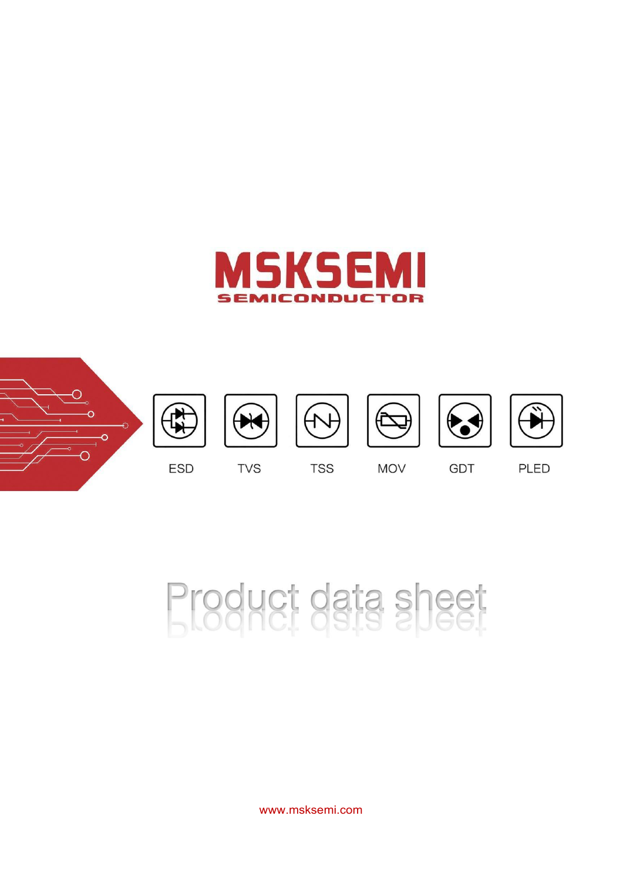



# Product data sheet

[www.msksemi.com](http://www.msksemi.com/)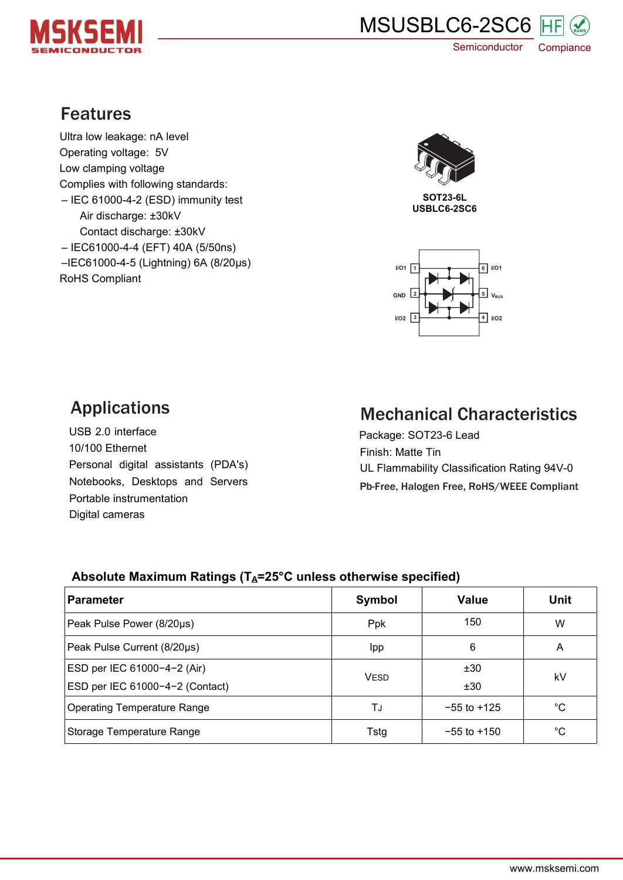



# Features

Ultra low leakage: nA level Operating voltage: 5V Low clamping voltage Complies with following standards: – IEC 61000-4-2 (ESD) immunity test Air discharge: ±30kV Contact discharge: ±30kV – IEC61000-4-4 (EFT) 40A (5/50ns) –IEC61000-4-5 (Lightning) 6A (8/20μs) RoHS Compliant



**SOT23-6L USBLC6-2SC6**



# Applications

USB 2.0 interface 10/100 Ethernet Personal digital assistants (PDA's) Notebooks, Desktops and Servers Portable instrumentation Digital cameras

# Mechanical Characteristics

Package: SOT23-6 Lead Finish: Matte Tin UL Flammability Classification Rating 94V-0 Pb-Free, Halogen Free, RoHS/WEEE Compliant

## **Absolute Maximum Ratings (TA=25°C unless otherwise specified)**

| Parameter                          | Symbol      | <b>Value</b>    | <b>Unit</b> |  |
|------------------------------------|-------------|-----------------|-------------|--|
| Peak Pulse Power (8/20µs)          | Ppk         | 150             | W           |  |
| Peak Pulse Current (8/20µs)        | Ipp         | 6               | Α           |  |
| ESD per IEC 61000-4-2 (Air)        |             | ±30             | kV          |  |
| ESD per IEC 61000-4-2 (Contact)    | <b>VESD</b> | ±30             |             |  |
| <b>Operating Temperature Range</b> | TJ          | $-55$ to $+125$ | °C          |  |
| Storage Temperature Range          | Tstg        | $-55$ to $+150$ | $^{\circ}C$ |  |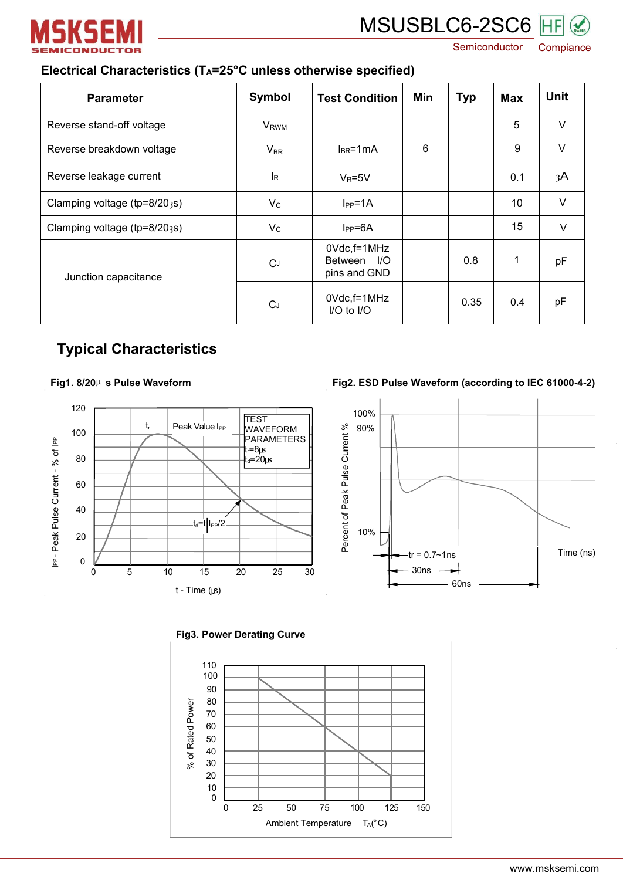

# MSUSBLC6-2SC6 HF

Semiconductor Compiance

## **Electrical Characteristics (TA=25°C unless otherwise specified)**

| <b>Parameter</b>             | Symbol                    | <b>Test Condition</b>                      | Min | <b>Typ</b> | <b>Max</b> | <b>Unit</b> |
|------------------------------|---------------------------|--------------------------------------------|-----|------------|------------|-------------|
| Reverse stand-off voltage    | <b>V</b> <sub>RWM</sub>   |                                            |     |            | 5          | $\vee$      |
| Reverse breakdown voltage    | $V_{BR}$                  | $I_{BR}$ =1mA                              | 6   |            | 9          | $\vee$      |
| Reverse leakage current      | $\mathsf{I}_{\mathsf{R}}$ | $V_R = 5V$                                 |     |            | 0.1        | 3A          |
| Clamping voltage (tp=8/203s) | $V_{C}$                   | $I_{PP} = 1A$                              |     |            | 10         | $\vee$      |
| Clamping voltage (tp=8/203s) | $V_{\rm C}$               | $I_{PP} = 6A$                              |     |            | 15         | $\vee$      |
| Junction capacitance         | C <sub>J</sub>            | 0Vdc,f=1MHz<br>Between I/O<br>pins and GND |     | 0.8        | 1          | pF          |
|                              | C <sub>J</sub>            | 0Vdc,f=1MHz<br>I/O to I/O                  |     | 0.35       | 0.4        | pF          |

## **Typical Characteristics**

#### **Fig1. 8/20**µ **s Pulse Waveform**



#### **Fig2. ESD** Pulse Waveform (according to IEC 61000-4-2)





**Fig3. Power Derating Curve**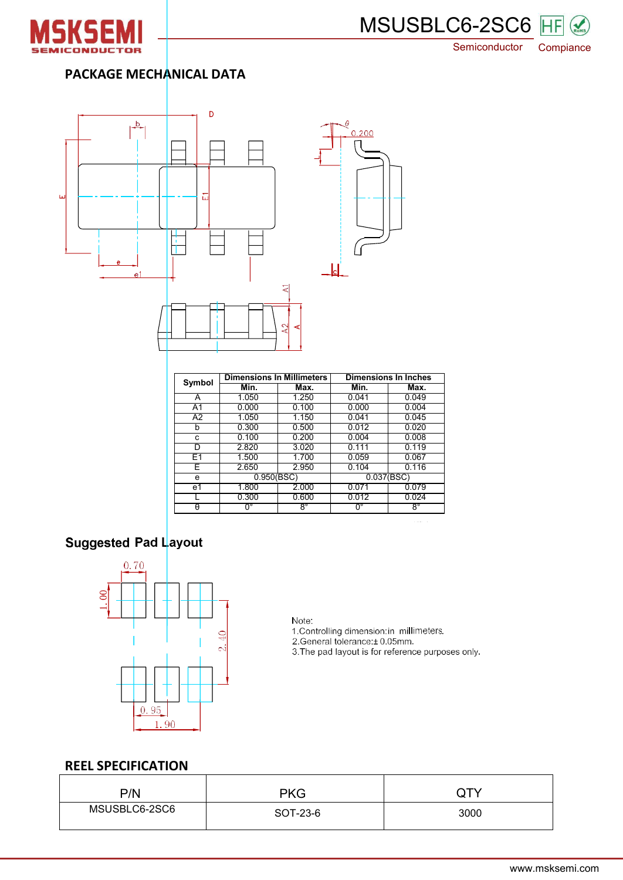



Semiconductor Compiance

## **PACKAGE MECHANICAL DATA**



| Symbol         | <b>Dimensions In Millimeters</b> |           | <b>Dimensions In Inches</b> |           |  |
|----------------|----------------------------------|-----------|-----------------------------|-----------|--|
|                | Min.                             | Max.      | Min.                        | Max.      |  |
| A              | 1.050                            | 1.250     | 0.041                       | 0.049     |  |
| A <sub>1</sub> | 0.000                            | 0.100     | 0.000                       | 0.004     |  |
| A2             | 1.050                            | 1.150     | 0.041                       | 0.045     |  |
| b              | 0.300                            | 0.500     | 0.012                       | 0.020     |  |
| c              | 0.100                            | 0.200     | 0.004                       | 0.008     |  |
| D              | 2.820                            | 3.020     | 0.111                       | 0.119     |  |
| E1             | 1.500                            | 1.700     | 0.059                       | 0.067     |  |
| E.             | 2.650                            | 2.950     | 0.104                       | 0.116     |  |
| e              | 0.950(BSC)                       |           | 0.037(BSC)                  |           |  |
| e1             | 1.800                            | 2.000     | 0.071                       | 0.079     |  |
|                | 0.300                            | 0.600     | 0.012                       | 0.024     |  |
| $\theta$       | $0^{\circ}$                      | $8^\circ$ | $0^{\circ}$                 | $8^\circ$ |  |

# Suggested Pad Layout



#### Note:

1. Controlling dimension: in millimeters.

2.General tolerance: ± 0.05mm<br>3.The pad layout is for reference purposes only.

### **REEL SPECIFICATION**

| P/N           | <b>PKG</b> | ∾ ∪  |
|---------------|------------|------|
| MSUSBLC6-2SC6 | SOT-23-6   | 3000 |